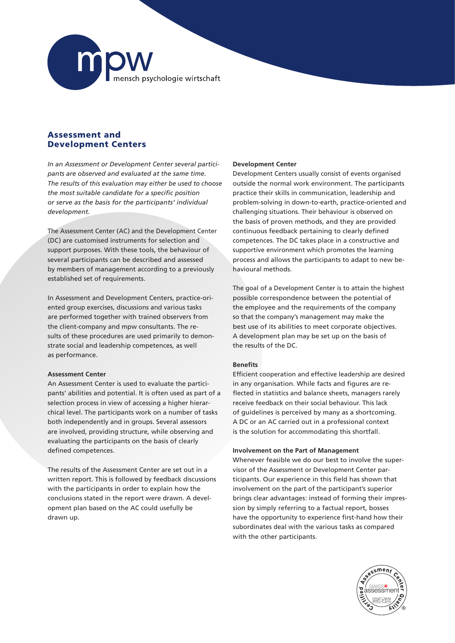

# Assessment and Development Centers

*In an Assessment or Development Center several participants are observed and evaluated at the same time. The results of this evaluation may either be used to choose the most suitable candidate for a specific position or serve as the basis for the participants' individual development.* 

The Assessment Center (AC) and the Development Center (DC) are customised instruments for selection and support purposes. With these tools, the behaviour of several participants can be described and assessed by members of management according to a previously established set of requirements.

In Assessment and Development Centers, practice-oriented group exercises, discussions and various tasks are performed together with trained observers from the client-company and mpw consultants. The results of these procedures are used primarily to demonstrate social and leadership competences, as well as performance.

### **Assessment Center**

An Assessment Center is used to evaluate the participants' abilities and potential. It is often used as part of a selection process in view of accessing a higher hierarchical level. The participants work on a number of tasks both independently and in groups. Several assessors are involved, providing structure, while observing and evaluating the participants on the basis of clearly defined competences.

The results of the Assessment Center are set out in a written report. This is followed by feedback discussions with the participants in order to explain how the conclusions stated in the report were drawn. A development plan based on the AC could usefully be drawn up.

### **Development Center**

Development Centers usually consist of events organised outside the normal work environment. The participants practice their skills in communication, leadership and problem-solving in down-to-earth, practice-oriented and challenging situations. Their behaviour is observed on the basis of proven methods, and they are provided continuous feedback pertaining to clearly defined competences. The DC takes place in a constructive and supportive environment which promotes the learning process and allows the participants to adapt to new behavioural methods.

The goal of a Development Center is to attain the highest possible correspondence between the potential of the employee and the requirements of the company so that the company's management may make the best use of its abilities to meet corporate objectives. A development plan may be set up on the basis of the results of the DC.

## **Benefits**

Efficient cooperation and effective leadership are desired in any organisation. While facts and figures are reflected in statistics and balance sheets, managers rarely receive feedback on their social behaviour. This lack of guidelines is perceived by many as a shortcoming. A DC or an AC carried out in a professional context is the solution for accommodating this shortfall.

### **Involvement on the Part of Management**

Whenever feasible we do our best to involve the supervisor of the Assessment or Development Center participants. Our experience in this field has shown that involvement on the part of the participant's superior brings clear advantages: instead of forming their impression by simply referring to a factual report, bosses have the opportunity to experience first-hand how their subordinates deal with the various tasks as compared with the other participants.